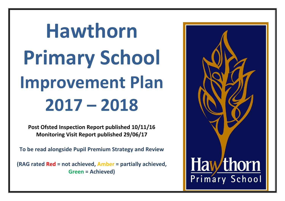# **Hawthorn Primary School Improvement Plan 2017 – 2018**

**Post Ofsted Inspection Report published 10/11/16 Monitoring Visit Report published 29/06/17**

**To be read alongside Pupil Premium Strategy and Review**

**(RAG rated Red = not achieved, Amber = partially achieved, Green = Achieved)**

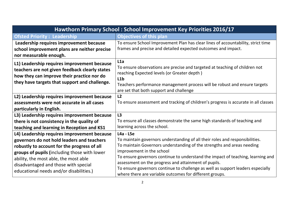| Hawthorn Primary School: School Improvement Key Priorities 2016/17                                                                                                                                                                                                                                                   |                                                                                                                                                                                                                                                                                                                                                                                                                                                                                             |  |  |
|----------------------------------------------------------------------------------------------------------------------------------------------------------------------------------------------------------------------------------------------------------------------------------------------------------------------|---------------------------------------------------------------------------------------------------------------------------------------------------------------------------------------------------------------------------------------------------------------------------------------------------------------------------------------------------------------------------------------------------------------------------------------------------------------------------------------------|--|--|
| <b>Ofsted Priority: Leadership</b>                                                                                                                                                                                                                                                                                   | <b>Objectives of this plan</b>                                                                                                                                                                                                                                                                                                                                                                                                                                                              |  |  |
| Leadership requires improvement because                                                                                                                                                                                                                                                                              | To ensure School Improvement Plan has clear lines of accountability, strict time<br>frames and precise and detailed expected outcomes and impact.                                                                                                                                                                                                                                                                                                                                           |  |  |
| school improvement plans are neither precise<br>nor measurable enough.                                                                                                                                                                                                                                               |                                                                                                                                                                                                                                                                                                                                                                                                                                                                                             |  |  |
| L1) Leadership requires improvement because<br>teachers are not given feedback clearly states<br>how they can improve their practice nor do<br>they have targets that support and challenge.                                                                                                                         | L1a<br>To ensure observations are precise and targeted at teaching of children not<br>reaching Expected levels (or Greater depth)<br>L1b<br>Teachers performance management process will be robust and ensure targets<br>are set that both support and challenge                                                                                                                                                                                                                            |  |  |
| L2) Leadership requires improvement because<br>assessments were not accurate in all cases<br>particularly in English.                                                                                                                                                                                                | L2<br>To ensure assessment and tracking of children's progress is accurate in all classes                                                                                                                                                                                                                                                                                                                                                                                                   |  |  |
| L3) Leadership requires improvement because<br>there is not consistency in the quality of<br>teaching and learning in Reception and KS1                                                                                                                                                                              | L3<br>To ensure all classes demonstrate the same high standards of teaching and<br>learning across the school.                                                                                                                                                                                                                                                                                                                                                                              |  |  |
| L4) Leadership requires improvement because<br>governors do not hold leaders and teachers<br>robustly to account for the progress of all<br>groups of pupils (including those with lower<br>ability, the most able, the most able<br>disadvantaged and those with special<br>educational needs and/or disabilities.) | $L4a - L5e$<br>To maintain governors understanding of all their roles and responsibilities.<br>To maintain Governors understanding of the strengths and areas needing<br>improvement in the school<br>To ensure governors continue to understand the impact of teaching, learning and<br>assessment on the progress and attainment of pupils.<br>To ensure governors continue to challenge as well as support leaders especially<br>where there are variable outcomes for different groups. |  |  |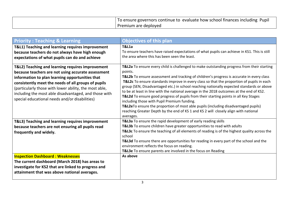| To ensure governors continue to evaluate how school finances including Pupil |
|------------------------------------------------------------------------------|
| Premium are deployed                                                         |

| <b>Priority: Teaching &amp; Learning</b>                                                                                                                                                                                                                                                                                                                                              | <b>Objectives of this plan</b>                                                                                                                                                                                                                                                                                                                                                                                                                                                                                                                                                                                                                                                                                                                                                                                            |
|---------------------------------------------------------------------------------------------------------------------------------------------------------------------------------------------------------------------------------------------------------------------------------------------------------------------------------------------------------------------------------------|---------------------------------------------------------------------------------------------------------------------------------------------------------------------------------------------------------------------------------------------------------------------------------------------------------------------------------------------------------------------------------------------------------------------------------------------------------------------------------------------------------------------------------------------------------------------------------------------------------------------------------------------------------------------------------------------------------------------------------------------------------------------------------------------------------------------------|
| T&L1) Teaching and learning requires improvement<br>because teachers do not always have high enough<br>expectations of what pupils can do and achieve                                                                                                                                                                                                                                 | <b>T&amp;L1a</b><br>To ensure teachers have raised expectations of what pupils can achieve in KS1. This is still<br>the area where this has been seen the least.                                                                                                                                                                                                                                                                                                                                                                                                                                                                                                                                                                                                                                                          |
| T&L2) Teaching and learning requires improvement<br>because teachers are not using accurate assessment<br>information to plan learning opportunities that<br>consistently meet the needs of all groups of pupils<br>(particularly those with lower ability, the most able,<br>including the most able disadvantaged, and those with<br>special educational needs and/or disabilities) | T&L2a To ensure every child is challenged to make outstanding progress from their starting<br>points.<br>T&L2b To ensure assessment and tracking of children's progress is accurate in every class<br>T&L2c To ensure standards improve in every class so that the proportion of pupils in each<br>group (SEN, Disadvantaged etc.) in school reaching nationally expected standards or above<br>to be at least in line with the national average in the 2018 outcomes at the end of KS2.<br>T&L2d To ensure good progress of pupils from their starting points in all Key Stages<br>including those with Pupil Premium funding.<br>T&L2eTo ensure the proportion of most able pupils (including disadvantaged pupils)<br>reaching Greater Depth by the end of KS 1 and KS 2 will closely align with national<br>averages. |
| T&L3) Teaching and learning requires improvement<br>because teachers are not ensuring all pupils read<br>frequently and widely.                                                                                                                                                                                                                                                       | T&L3a To ensure the rapid development of early reading skills<br>T&L3b To ensure children have greater opportunities to read with adults<br>T&L3c To ensure the teaching of all elements of reading is of the highest quality across the<br>school<br>T&L3d To ensure there are opportunities for reading in every part of the school and the<br>environment reflects the focus on reading.<br>T&L3e To ensure parents are involved in the focus on Reading                                                                                                                                                                                                                                                                                                                                                               |
| <b>Inspection Dashboard: Weaknesses</b><br>The current dashboard (March 2018) has areas to<br>investigate for KS2 that are linked to progress and<br>attainment that was above national averages.                                                                                                                                                                                     | As above                                                                                                                                                                                                                                                                                                                                                                                                                                                                                                                                                                                                                                                                                                                                                                                                                  |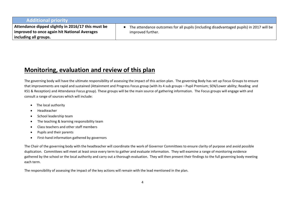## **Additional priority**

**Attendance dipped slightly in 2016/17 this must be improved to once again hit National Averages including all groups.**

 The attendance outcomes for all pupils (including disadvantaged pupils) in 2017 will be improved further.

# **Monitoring, evaluation and review of this plan**

The governing body will have the ultimate responsibility of assessing the impact of this action plan. The governing Body has set up Focus Groups to ensure that improvements are rapid and sustained (Attainment and Progress Focus group (with its 4 sub groups – Pupil Premium; SEN/Lower ability; Reading and KS1 & Reception) and Attendance Focus group). These groups will be the main source of gathering information. The Focus groups will engage with and consult a range of sources which will include:

- The local authority
- Headteacher
- School leadership team
- The teaching & learning responsibility team
- Class teachers and other staff members
- Pupils and their parents
- First-hand information gathered by governors

The Chair of the governing body with the headteacher will coordinate the work of Governor Committees to ensure clarity of purpose and avoid possible duplication. Committees will meet at least once every term to gather and evaluate information. They will examine a range of monitoring evidence gathered by the school or the local authority and carry out a thorough evaluation. They will then present their findings to the full governing body meeting each term.

The responsibility of assessing the impact of the key actions will remain with the lead mentioned in the plan.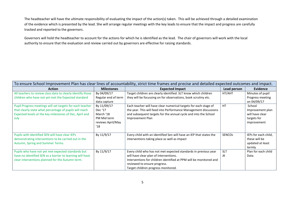The headteacher will have the ultimate responsibility of evaluating the impact of the action(s) taken. This will be achieved through a detailed examination of the evidence which is presented by the lead. She will arrange regular meetings with the key leads to ensure that the impact and progress are carefully tracked and reported to the governors.

Governors will hold the headteacher to account for the actions for which he is identified as the lead. The chair of governors will work with the local authority to ensure that the evaluation and review carried out by governors are effective for raising standards.

| To ensure School Improvement Plan has clear lines of accountability, strict time frames and precise and detailed expected outcomes and impact.                                          |                                                                                |                                                                                                                                                                                                                                                        |                  |                                                                             |  |  |
|-----------------------------------------------------------------------------------------------------------------------------------------------------------------------------------------|--------------------------------------------------------------------------------|--------------------------------------------------------------------------------------------------------------------------------------------------------------------------------------------------------------------------------------------------------|------------------|-----------------------------------------------------------------------------|--|--|
| <b>Action</b>                                                                                                                                                                           | <b>Milestones</b>                                                              | <b>Expected Impact</b>                                                                                                                                                                                                                                 | Lead person      | Evidence                                                                    |  |  |
| All teachers to review class data to clearly identify those<br>children who have not yet met the Expected standard                                                                      | By 04/09/17<br>Regular end of term<br>data capture                             | Target children are clearly identified. SLT know which children<br>they will be focussing on for observations, book scrutiny etc.                                                                                                                      | HT/AHT           | Minutes of pupil<br>Progress meeting<br>on 04/09/17                         |  |  |
| Pupil Progress meetings will set targets for each teacher<br>that clearly state what percentage of pupils will reach<br>Expected levels at the key milestones of Dec, April and<br>July | By 11/09/17<br>Dec '17<br>March '18<br>PM Mid term<br>reviews April/May<br>'18 | Each teacher will have clear numerical targets for each stage of<br>the year. This will feed into Performance Management discussions<br>and subsequent targets for the annual cycle and into the School<br>Improvement Plan                            | <b>HT</b>        | School<br>Improvement plan<br>will have clear<br>targets for<br>improvement |  |  |
| Pupils with identified SEN will have clear IEPs<br>demonstrating interventions to be carried out in the<br>Autumn, Spring and Summer Terms.                                             | By 11/9/17                                                                     | Every child with an identified Sen will have an IEP that states the<br>interventions taking place as well as impact                                                                                                                                    | <b>SENCOs</b>    | IEPs for each child,<br>these will be<br>updated at least<br>termly         |  |  |
| Pupils who have not yet met expected standards but<br>have no identified SEN as a barrier to learning will have<br>clear interventions planned for the Autumn term.                     | By 11/9/17                                                                     | Every child who has not met expected standards in previous year<br>will have clear plan of interventions.<br>Interventions for children identified at PPM will be monitored and<br>reviewed to ensure progress.<br>Target children progress monitored. | <b>SLT</b><br>JK | Plan for each child<br>Data                                                 |  |  |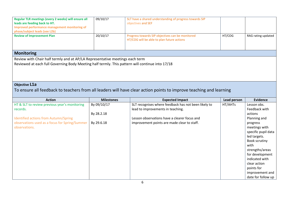| Regular TLR meetings (every 2 weeks) will ensure all<br>leads are feeding back to HT.<br>Improved performance management monitoring of<br>phase/subject leads (see L2b)         | 09/10/17          | SLT have a shared understanding of progress towards SIP<br>objectives and SEF                                      |             |                         |
|---------------------------------------------------------------------------------------------------------------------------------------------------------------------------------|-------------------|--------------------------------------------------------------------------------------------------------------------|-------------|-------------------------|
| <b>Review of Improvement Plan</b>                                                                                                                                               | 20/10/17          | Progress towards SIP objectives can be monitored<br>HT/COG will be able to plan future actions                     | HT/COG      | RAG rating updated      |
| <b>Monitoring</b>                                                                                                                                                               |                   |                                                                                                                    |             |                         |
| Review with Chair half termly and at AP/LA Representative meetings each term<br>Reviewed at each full Governing Body Meeting half termly. This pattern will continue into 17/18 |                   |                                                                                                                    |             |                         |
| Objective L1a                                                                                                                                                                   |                   |                                                                                                                    |             |                         |
|                                                                                                                                                                                 |                   | To ensure all feedback to teachers from all leaders will have clear action points to improve teaching and learning |             |                         |
|                                                                                                                                                                                 |                   |                                                                                                                    |             |                         |
| <b>Action</b>                                                                                                                                                                   | <b>Milestones</b> | <b>Expected Impact</b>                                                                                             | Lead person | <b>Evidence</b>         |
| HT & SLT to review previous year's monitoring                                                                                                                                   | By 09/10/17       | SLT recognises where feedback has not been likely to                                                               | HT/AHTs     | Lesson obs.             |
| records.                                                                                                                                                                        |                   | lead to improvements in teaching.                                                                                  |             | Feedback with           |
| Identified actions from Autumn/Spring                                                                                                                                           | By 28.2.18        | Lesson observations have a clearer focus and                                                                       |             | actions<br>Planning and |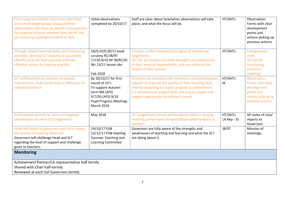| Once targeted children have been identified,<br>and overall target groups discussed then<br>observations will focus on specific interventions<br>for targeted children whether they are PP, not<br>yet achieving expected standard or SEN. | Initial observations<br>completed by 20/10/17                                                                                                            | Staff are clear about how/when observations will take<br>place, and what the focus will be.                                                                                                                                                                                          | HT/AHTs                | Observation<br>Forms with clear<br>development<br>points and<br>actions picking up<br>previous actions.        |
|--------------------------------------------------------------------------------------------------------------------------------------------------------------------------------------------------------------------------------------------|----------------------------------------------------------------------------------------------------------------------------------------------------------|--------------------------------------------------------------------------------------------------------------------------------------------------------------------------------------------------------------------------------------------------------------------------------------|------------------------|----------------------------------------------------------------------------------------------------------------|
| Through shared learning walks and monitoring<br>activities, develop SLT capacity to accurately<br>identify areas for improvement and take<br>effective actions to improve practice                                                         | 18/9,25/9,20/11 book<br>scrutiny RC/JB/RT<br>17/10,9/10 AP JB/RC/JD<br>Wc 13/11 lesson obs<br>Feb 2018                                                   | LA visits confirm accuracy and rigour of monitoring<br>judgements<br>SLT can accurately articulate strengths and weaknesses<br>in their areas of responsibility, and can evidence the<br>impact of their actions                                                                     | HT/AHTs                | Link governor<br>visits<br><b>SLT</b> termly<br>monitoring<br>summary<br>meetings                              |
| SLT will feed back to teachers on precise<br>interventions, that would make a difference to<br>individual children                                                                                                                         | By 20/10/17 for first<br>round of LO's<br>Y3 support Autumn<br>term KM (AFS)<br>SLT/SG (AFS) 9/10<br><b>Pupil Progress Meetings</b><br><b>March 2018</b> | Teachers are provided with systematic and individualised<br>support to improve the quality of their teaching skills,<br>directly impacting on pupils' progress & achievement.<br>1:1 sessions with subject leads will ensure targets and<br>support appropriate to children's needs. | HT/AHTs<br>JK          | <b>Observation</b><br>Forms with clear<br>development<br>points and<br>actions picking up<br>previous actions. |
| Achievement partner to carry out targeted<br>observations to check SLT judgements.                                                                                                                                                         | May 2018                                                                                                                                                 | SLT judgements secure and feedback useful in moving<br>teaching performance forward Moderated feedback to<br>teachers                                                                                                                                                                | HT/AHTs<br>LA Rep - ID | AP notes of visit/<br>reports to<br>Governors                                                                  |
| Head will report to governors each term about<br>the quality of teaching observed.<br>Governors will challenge Head and SLT<br>regarding the level of support and challenge<br>given to teachers.                                          | 19/10/17 FGB<br>12/12/17 FGB meeting<br>Summer Teaching and<br>Learning Committee                                                                        | Governors are fully aware of the strengths and<br>weaknesses of teaching and learning and what the SLT<br>are doing about it.                                                                                                                                                        | JB/RT                  | Minutes of<br>meetings;                                                                                        |
| <b>Monitoring</b>                                                                                                                                                                                                                          |                                                                                                                                                          |                                                                                                                                                                                                                                                                                      |                        |                                                                                                                |
| Achievement Partner/LA representative half termly<br>Shared with Chair half-termly<br>Reviewed at each full Governors termly                                                                                                               |                                                                                                                                                          |                                                                                                                                                                                                                                                                                      |                        |                                                                                                                |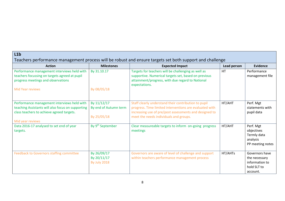| L1b                                                                                                                                           |                                                     |                                                                                                                                                                                                                     |             |                                                                              |  |  |
|-----------------------------------------------------------------------------------------------------------------------------------------------|-----------------------------------------------------|---------------------------------------------------------------------------------------------------------------------------------------------------------------------------------------------------------------------|-------------|------------------------------------------------------------------------------|--|--|
| Teachers performance management process will be robust and ensure targets set both support and challenge                                      |                                                     |                                                                                                                                                                                                                     |             |                                                                              |  |  |
| <b>Action</b>                                                                                                                                 | <b>Milestones</b>                                   | <b>Expected Impact</b>                                                                                                                                                                                              | Lead person | <b>Evidence</b>                                                              |  |  |
| Performance management interviews held with<br>teachers focussing on targets agreed at pupil<br>progress meetings and observations            | By 31.10.17                                         | Targets for teachers will be challenging as well as<br>supportive. Numerical targets set, based on previous<br>attainment/progress, with due regard to National<br>expectations.                                    | HT          | Performance<br>management file                                               |  |  |
| <b>Mid Year reviews</b>                                                                                                                       | By 08/05/18                                         |                                                                                                                                                                                                                     |             |                                                                              |  |  |
| Performance management interviews held with<br>teaching Assistants will also focus on supporting<br>class teachers to achieve agreed targets. | By 11/12/17<br>By end of Autumn term<br>By 25/05/18 | Staff clearly understand their contribution to pupil<br>progress. Time limited interventions are evaluated with<br>increasing use of pre/post assessments and designed to<br>meet the needs individuals and groups. | HT/AHT      | Perf. Mgt<br>statements with<br>pupil data                                   |  |  |
| Mid year reviews<br>Data 2016-17 analysed to set end of year<br>targets.                                                                      | By 9 <sup>th</sup> September                        | Clear measureable targets to inform on-going progress<br>meetings                                                                                                                                                   | HT/AHT      | Perf. Mgt<br>objectives<br>Termly data<br>analysis<br>PP meeting notes       |  |  |
| Feedback to Governors staffing committee                                                                                                      | By 26/09/17<br>By 20/11/17<br><b>By July 2018</b>   | Governors are aware of level of challenge and support<br>within teachers performance management process                                                                                                             | HT/AHTs     | Governors have<br>the necessary<br>information to<br>hold SLT to<br>account. |  |  |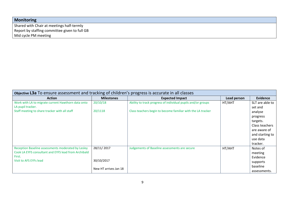| <b>Monitoring</b>                             |
|-----------------------------------------------|
| Shared with Chair at meetings half-termly     |
| Report by staffing committee given to full GB |
| Mid cycle PM meeting                          |

| Objective L3a To ensure assessment and tracking of children's progress is accurate in all classes |                       |                                                              |             |                 |  |  |
|---------------------------------------------------------------------------------------------------|-----------------------|--------------------------------------------------------------|-------------|-----------------|--|--|
| <b>Action</b>                                                                                     | <b>Milestones</b>     | <b>Expected Impact</b>                                       | Lead person | <b>Evidence</b> |  |  |
| Work with LA to migrate current Hawthorn data onto                                                | 20/10/18              | Ability to track progress of individual pupils and/or groups | HT/AHT      | SLT are able to |  |  |
| LA pupil tracker.                                                                                 |                       |                                                              |             | set and         |  |  |
| Staff meeting to share tracker with all staff                                                     | 20/1118               | Class teachers begin to become familiar with the LA tracker  |             | analyse         |  |  |
|                                                                                                   |                       |                                                              |             | progress        |  |  |
|                                                                                                   |                       |                                                              |             | targets.        |  |  |
|                                                                                                   |                       |                                                              |             | Class teachers  |  |  |
|                                                                                                   |                       |                                                              |             | are aware of    |  |  |
|                                                                                                   |                       |                                                              |             | and starting to |  |  |
|                                                                                                   |                       |                                                              |             | use data        |  |  |
|                                                                                                   |                       |                                                              |             | tracker.        |  |  |
| Reception Baseline assessments moderated by Lesley                                                | 28/11/2017            | Judgements of Baseline assessments are secure                | HT/AHT      | Notes of        |  |  |
| Cook LA EYFS consultant and EYFS lead from Archibald                                              |                       |                                                              |             | meeting         |  |  |
| First.                                                                                            |                       |                                                              |             | Evidence        |  |  |
| Visit to AFS EYFs lead                                                                            | 30/10/2017            |                                                              |             | supports        |  |  |
|                                                                                                   | New HT arrives Jan 18 |                                                              |             | baseline        |  |  |
|                                                                                                   |                       |                                                              |             | assessments.    |  |  |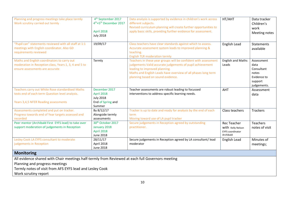| Planning and progress meetings take place termly<br>Work scrutiny carried out termly                                                        | 4 <sup>th</sup> September 2017<br>4 <sup>th</sup> +5 <sup>th</sup> December 2017<br><b>April 2018</b><br><b>July 2018</b> | Data analysis is supported by evidence in children's work across<br>different subjects.<br>Revised curriculum planning will create further opportunities to<br>apply basic skills, providing further evidence for assessment.                                       | HT/AHT                                                                          | Data tracker<br>Children's<br>work<br>Meeting notes                                |
|---------------------------------------------------------------------------------------------------------------------------------------------|---------------------------------------------------------------------------------------------------------------------------|---------------------------------------------------------------------------------------------------------------------------------------------------------------------------------------------------------------------------------------------------------------------|---------------------------------------------------------------------------------|------------------------------------------------------------------------------------|
| "Pupil can" statements reviewed with all staff at 1:1<br>meetings with English coordinator. Also GD<br>requirements reviewed                | 19/09/17                                                                                                                  | Class teachers have clear standards against which to assess.<br>Accurate assessment system leads to improved planning &<br>teaching.<br><b>English TLR moderation termly</b>                                                                                        | English Lead                                                                    | Statements<br>available                                                            |
| Maths and English coordinators to carry out<br>moderation in Reception class, Years 1, 3, 4 and 5 to<br>ensure assessments are accurate     | Termly                                                                                                                    | Teachers in these year groups will be confident with assessment<br>judgements Valid accurate judgements of pupil achievement<br>leading to improved planning.<br>Maths and English Leads have overview of all phases long term<br>planning based on sound evidence. | <b>English and Maths</b><br>Leads                                               | Assessment<br>data<br>Consultant<br>notes<br>Evidence to<br>support<br>judgements. |
| Teachers carry out White Rose standardised Maths<br>tests end of each term Question level analysis.<br>Years 3,4,5 NFER Reading assessments | December 2017<br><b>April 2018</b><br><b>July 2018</b><br>End of Spring and<br>Summer                                     | Teacher assessments are robust leading to focussed<br>interventions to address specific learning needs.                                                                                                                                                             | AHT                                                                             | Assessment<br>data                                                                 |
| Assessments completed and put on tracker.<br>Progress towards end of Year targets assessed and<br>recorded                                  | By 8/12/17<br>Alongside termly<br>assessments                                                                             | Tracker is up to date and ready for analysis by the end of each<br>term<br>Moving toward use of LA pupil tracker                                                                                                                                                    | Class teachers                                                                  | <b>Trackers</b>                                                                    |
| Peer mentor (Archibald First EYFS lead) to take over<br>support moderation of judgements in Reception                                       | 30 <sup>th</sup> October 2017<br>January 2018<br><b>April 2018</b><br>June 2018                                           | Secure judgements in Reception agreed by outstanding<br>practitioner.                                                                                                                                                                                               | <b>Rec Teacher</b><br>With Kelly Nelson<br><b>EYFS</b> coordinator<br>Archibald | <b>Teachers</b><br>notes of visit                                                  |
| Lesley Cook LA EYFS consultant to moderate<br>judgements in Reception                                                                       | 28/11/17<br>April 2018<br><b>June 2018</b>                                                                                | Secure judgements in Reception agreed by LA consultant/ lead<br>moderator                                                                                                                                                                                           | English Lead                                                                    | Minutes of<br>meetings;                                                            |
| <b>Monitoring</b><br>All ouidance shared with Chair meetings half termly from Boujoured at each full Covernors meeting.                     |                                                                                                                           |                                                                                                                                                                                                                                                                     |                                                                                 |                                                                                    |

All evidence shared with Chair meetings half-termly from Reviewed at each full Governors meeting

Planning and progress meetings

Termly notes of visit from AFS EYFS lead and Lesley Cook

Work scrutiny report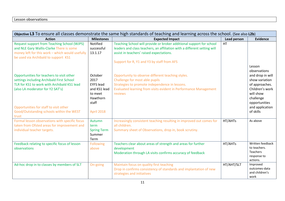#### Lesson observations

| Objective L3 To ensure all classes demonstrate the same high standards of teaching and learning across the school. (See also L2b)                                                                                   |                                                                                     |                                                                                                                                                                                                                                            |             |                                                                                                                                                                 |  |
|---------------------------------------------------------------------------------------------------------------------------------------------------------------------------------------------------------------------|-------------------------------------------------------------------------------------|--------------------------------------------------------------------------------------------------------------------------------------------------------------------------------------------------------------------------------------------|-------------|-----------------------------------------------------------------------------------------------------------------------------------------------------------------|--|
| <b>Action</b>                                                                                                                                                                                                       | <b>Milestones</b>                                                                   | <b>Expected Impact</b>                                                                                                                                                                                                                     | Lead person | <b>Evidence</b>                                                                                                                                                 |  |
| <b>Request support from Teaching School (WJPS)</b><br>and NLE Gary Wallis-Clarke There is some<br>money left for this work - which would usefully<br>be used via Archibald to support KS1                           | Notified<br>successful<br>13.1.17                                                   | Teaching School will provide or broker additional support for school<br>leaders and class teachers, an affiliation with a different setting will<br>assist in teachers' raised expectations.<br>Support for R, Y1 and Y3 by staff from AFS | HT          |                                                                                                                                                                 |  |
| Opportunities for teachers to visit other<br>settings including Archibald First School<br>TLR for KS1 to work with Archibald KS1 lead<br>(also LA moderator for Y2 SAT's)<br>Opportunities for staff to visit other | October<br>2017<br><b>EYFS</b> lead<br>and KS1 lead<br>to meet<br>Hawthorn<br>staff | Opportunity to observe different teaching styles.<br>Challenge for most able pupils<br>Strategies to promote independence in lessons.<br>Evaluated learning from visits evident in Performance Management<br>reviews                       |             | Lesson<br>observations<br>and drop in will<br>show variation<br>of approaches.<br>Children's work<br>will show<br>challenge<br>opportunities<br>and application |  |
| Good/Outstanding schools within the WEST<br>trust                                                                                                                                                                   | April 2018                                                                          |                                                                                                                                                                                                                                            |             | of skills                                                                                                                                                       |  |
| Formal lesson observations with specific focus<br>taken from Ofsted areas for improvement and<br>individual teacher targets.                                                                                        | Autumn<br>term<br><b>Spring Term</b><br>Summer<br>Term                              | Increasingly consistent teaching resulting in improved out comes for<br>all children.<br>Summary sheet of Observations, drop in, book scrutiny.                                                                                            | HT/AHTs     | As above                                                                                                                                                        |  |
| Feedback relating to specific focus of lesson<br>observations                                                                                                                                                       | <b>Following</b><br>above                                                           | Teachers clear about areas of strength and areas for further<br>development<br>Moderation through LA visits confirms accuracy of feedback                                                                                                  | HT/AHTs     | Written feedback<br>to teachers.<br>Teachers<br>response to<br>actions.                                                                                         |  |
| Ad-hoc drop in to classes by members of SLT                                                                                                                                                                         | On-going                                                                            | Maintain focus on quality first teaching<br>Drop in confirms consistency of standards and implantation of new<br>strategies and initiatives                                                                                                | HT/AHT/SLT  | Improved<br>outcomes-data<br>and children's<br>work                                                                                                             |  |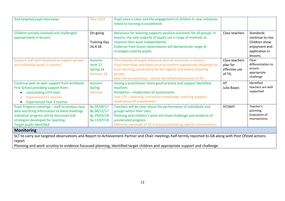| And targeted pupil interviews                                                                                                                                                                                                                                                                                      | <b>May 2018</b>                                          | Pupil voice is clear and the engagement of children in new initiatives<br>linked to learning is established.                                                                                                                                                                         |                                                       |                                                                                                       |
|--------------------------------------------------------------------------------------------------------------------------------------------------------------------------------------------------------------------------------------------------------------------------------------------------------------------|----------------------------------------------------------|--------------------------------------------------------------------------------------------------------------------------------------------------------------------------------------------------------------------------------------------------------------------------------------|-------------------------------------------------------|-------------------------------------------------------------------------------------------------------|
| Children actively involved and challenged<br>appropriately in lessons.                                                                                                                                                                                                                                             | On-going<br><b>Training Day</b><br>16.4.18               | Behaviour for learning supports positive outcomes for all groups. In<br>lessons, the vast majority of pupils use a range of methods to<br>improve their work independently.<br>Evidence from lesson observations will demonstrate range of<br>strategies used by pupils.             | Class teachers                                        | <b>Standards</b><br>continue to rise.<br>Children show<br>enjoyment and<br>application in<br>lessons. |
| Support staff well deployed to support groups<br>and individual pupils in lessons.                                                                                                                                                                                                                                 | Autumn<br>term 17<br>Spring 18<br>Summer 18              | The majority of pupils achieved desired outcomes in lessons.<br>Pupil interviews and book scrutiny confirm appropriate challenge for<br>prior learning, particularly for the highest and lowest attaining<br>groups.<br>New literacy planning - clearly identified deployment of TA. | Class teachers<br>plan for<br>effective use<br>of TA. | Clear<br>differentiation to<br>ensure<br>appropriate<br>challenge                                     |
| Continue peer to peer support from Archibald<br>First School providing support from:<br>outstanding EYFS lead<br><b>Experienced Y1 teacher</b><br>۰<br><b>Experienced Year 3 teacher</b>                                                                                                                           | Autumn<br><b>Spring</b><br>Summer                        | Having a practitioner share good practice and support identified<br>teachers:<br>Reception - moderation of assessments<br>Year 1/3 - planning, curriculum knowledge, teaching support,<br>moderation of assessments.                                                                 | <b>HT</b><br>Julia Bayes                              | Identified<br>teachers are well<br>supported                                                          |
| Pupil Progress meetings - staff to analyse class<br>data and bring information to these meetings.<br>Individual progress will be discussed and<br>strategies developed for teaching.<br>Target pupils identified.                                                                                                  | By 05/09/17<br>By 08/12/17<br>By 29/03/18<br>By 13/07/18 | Teachers will be clear about the performance of individuals and<br>groups within their class.<br>Planning and children's work will show challenge and evidence of<br>accelerated progress.<br>Effective use made of TA in lessons/delivering specific interventions.                 | HT/AHT                                                | Teacher's<br>planning.<br>Evaluation of<br>interventions                                              |
| <b>Monitoring</b><br>SLT to carry out targeted observations and Report to Achievement Partner and Chair meetings half-termly reported to GB along with Post Ofsted actions<br>report<br>Planning and work scrutiny to evidence focussed planning, identified target children and appropriate support and challenge |                                                          |                                                                                                                                                                                                                                                                                      |                                                       |                                                                                                       |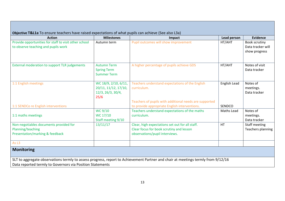| Objective T&L1a To ensure teachers have raised expectations of what pupils can achieve (See also L3a)                            |                                                                           |                                                                                                                               |               |                                                     |  |  |
|----------------------------------------------------------------------------------------------------------------------------------|---------------------------------------------------------------------------|-------------------------------------------------------------------------------------------------------------------------------|---------------|-----------------------------------------------------|--|--|
| <b>Action</b>                                                                                                                    | <b>Milestones</b>                                                         | Impact                                                                                                                        |               | <b>Evidence</b>                                     |  |  |
| Provide opportunities for staff to visit other school<br>to observe teaching and pupils work                                     | Autumn term                                                               | Pupil outcomes will show improvement                                                                                          | HT/AHT        | Book scrutiny<br>Data tracker will<br>show progress |  |  |
| <b>External moderation to support TLR judgements</b>                                                                             | <b>Autumn Term</b><br><b>Spring Term</b><br><b>Summer Term</b>            | A higher percentage of pupils achieve GDS                                                                                     | HT/AHT        | Notes of visit<br>Data tracker                      |  |  |
| 1:1 English meetings                                                                                                             | WC 18/9, 2/10, 6/11,<br>20/11, 11/12, 17/10,<br>12/3, 26/3, 30/4,<br>25/6 | Teachers understand expectations of the English<br>curriculum.                                                                | English Lead  | Notes of<br>meetings.<br>Data tracker               |  |  |
| 1:1 SENDCo re English interventions                                                                                              |                                                                           | Teachers of pupils with additional needs are supported<br>to provide appropriate English interventions.                       | <b>SENDCO</b> |                                                     |  |  |
| 1:1 maths meetings                                                                                                               | WC 9/10<br>WC 17/10<br>Staff meeting 9/10                                 | Teachers understand expectations of the maths<br>curriculum.                                                                  | Maths Lead    | Notes of<br>meetings.<br>Data tracker               |  |  |
| Non-negotiables documents provided for<br>Planning/teaching<br>Presentation/marking & feedback                                   | 13/11/17                                                                  | Clear, high expectations set out for all staff.<br>Clear focus for book scrutiny and lesson<br>observations/pupil interviews. | <b>HT</b>     | Staff meeting<br>Teachers planning                  |  |  |
| As L <sub>3</sub>                                                                                                                |                                                                           |                                                                                                                               |               |                                                     |  |  |
| <b>Monitoring</b>                                                                                                                |                                                                           |                                                                                                                               |               |                                                     |  |  |
| SLT to aggregate observations termly to assess progress, report to Achievement Partner and chair at meetings termly from 9/12/16 |                                                                           |                                                                                                                               |               |                                                     |  |  |
| Data reported termly to Governors via Position Statements                                                                        |                                                                           |                                                                                                                               |               |                                                     |  |  |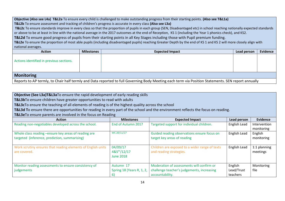**Objective (Also see L4a) T&L2a** To ensure every child is challenged to make outstanding progress from their starting points. **(Also see T&L1a) T&L2b** To ensure assessment and tracking of children's progress is accurate in every class **(Also see L3a)**

**T&L2c** To ensure standards improve in every class so that the proportion of pupils in each group (SEN, Disadvantaged etc) in school reaching nationally expected standards or above to be at least in line with the national average in the 2017 outcomes at the end of Reception, KS 1 (including the Year 1 phonics check), and KS2.

**T&L2d** To ensure good progress of pupils from their starting points in all Key Stages including those with Pupil premium funding.

**T&L2e** To ensure the proportion of most able pupils (including disadvantaged pupils) reaching Greater Depth by the end of KS 1 and KS 2 will more closely align with national averages.

| <b>Action</b>                                                                                                                                      | <b>Milestones</b> | <b>Expected Impact</b> | Lead person | <b>Evidence</b> |  |
|----------------------------------------------------------------------------------------------------------------------------------------------------|-------------------|------------------------|-------------|-----------------|--|
| Actions identified in previous sections.                                                                                                           |                   |                        |             |                 |  |
| <b>Monitoring</b>                                                                                                                                  |                   |                        |             |                 |  |
| Reports to AP termly, to Chair half termly and Data reported to full Governing Body Meeting each term via Position Statements. SEN report annually |                   |                        |             |                 |  |

### **Objective (See L3a)T&L3a**To ensure the rapid development of early reading skills

**T&L3b**To ensure children have greater opportunities to read with adults

**T&L3c**To ensure the teaching of all elements of reading is of the highest quality across the school

**T&L3d T**o ensure there are opportunities for reading in every part of the school and the environment reflects the focus on reading.

**T&L3e**To ensure parents are involved in the focus on Reading

| <b>Action</b>                                                | <b>Milestones</b>         | <b>Expected Impact</b>                         | Lead person  | Evidence     |
|--------------------------------------------------------------|---------------------------|------------------------------------------------|--------------|--------------|
| Reading non-negotiables developed across the school.         | End of Autumn 2017        | Targeted support for individual children.      | English Lead | Intervention |
|                                                              |                           |                                                |              | monitoring   |
| Whole class reading -ensure key areas of reading are         | WC 20/11/17               | Guided reading observations ensure focus on    | English Lead | English      |
| targeted (inference, prediction, summarising)                |                           | target key areas of reading                    |              | monitoring   |
|                                                              |                           |                                                |              |              |
| Work scrutiny ensures that reading elements of English units | 04/09/17                  | Children are exposed to a wider range of texts | English Lead | 1:1 planning |
| are covered.                                                 | $485^{th}/12/17$          | and reading strategies.                        |              | meetings     |
|                                                              | <b>June 2018</b>          |                                                |              |              |
|                                                              |                           |                                                |              |              |
| Monitor reading assessments to ensure consistency of         | Autumn 17                 | Moderation of assessments will confirm or      | English      | Monitoring   |
| judgements                                                   | Spring 18 (Years R, 1, 2, | challenge teacher's judgements, increasing     | Lead/Trust   | file         |
|                                                              |                           | accountability.                                | teachers     |              |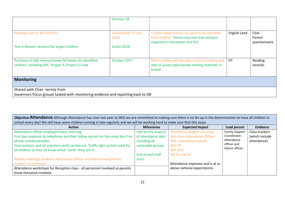|                                                                                                                   | Summer 18                           |                                                                                                                                    |              |                                  |  |
|-------------------------------------------------------------------------------------------------------------------|-------------------------------------|------------------------------------------------------------------------------------------------------------------------------------|--------------|----------------------------------|--|
| Reading club for KS1 and KS2                                                                                      | <b>Started Sept 17-July</b><br>2018 | Further opportunities for parents to read with<br>their children. Parent stay and read sessions<br>organised in Reception and KS1. | English Lead | Club.<br>Parent<br>questionnaire |  |
| Year 6 Booster sessions for target children                                                                       | Easter 2018                         |                                                                                                                                    |              |                                  |  |
| Purchase of high interest/lower RA books for identified<br>children, including ARC. Project X, Project X Code     | October 2017                        | More children will develop a love of reading and<br>able to access appropriate reading materials in<br>school.                     | <b>HT</b>    | Reading<br>records.              |  |
| <b>Monitoring</b>                                                                                                 |                                     |                                                                                                                                    |              |                                  |  |
| Shared with Chair -termly from<br>Governors Focus groups tasked with monitoring evidence and reporting back to GB |                                     |                                                                                                                                    |              |                                  |  |

**Objective Attendance** Although Attendance has risen last year to 96% we are committed to making sure there is no let-up in the determination to have all children in school every day! We still have some children coming in late regularly and we will be working hard to make sure that this stops.

| <b>Action</b>                                                                    | <b>Milestones</b>    | <b>Expected Impact</b>           | Lead person           | <b>Evidence</b> |
|----------------------------------------------------------------------------------|----------------------|----------------------------------|-----------------------|-----------------|
| Attendance officer employed every morning.                                       | Half termly analysis | Attendance targets set using     | <b>Family Support</b> | Class trackers  |
| First day response by telephone and then follow up visit on the same day if no   | of attendance data   | data from Attendance Officer:    | Coordinator,          | (which include  |
| phone contact possible.                                                          | including all        | 96% attendance overall           | Attendance            | attendance)     |
| Data analysis, and all statutory work carried out. Traffic light system used for | vulnerable groups    | 96% PP                           | officer and           |                 |
| all children so they all know which "zone" they are in.                          |                      | <b>96% SEN</b>                   | Admin officer         |                 |
|                                                                                  | End of each half     | 9% PA overall                    |                       |                 |
| Weekly meetings between Attendance officer and Admin/Head/Family                 | term                 |                                  |                       |                 |
| Support co-ordinator                                                             |                      | Attendance improves and is at or |                       |                 |
| Attendance workshops for Reception class - all personnel involved so parents     |                      | above national expectations.     |                       |                 |
| know everyone involved.                                                          |                      |                                  |                       |                 |